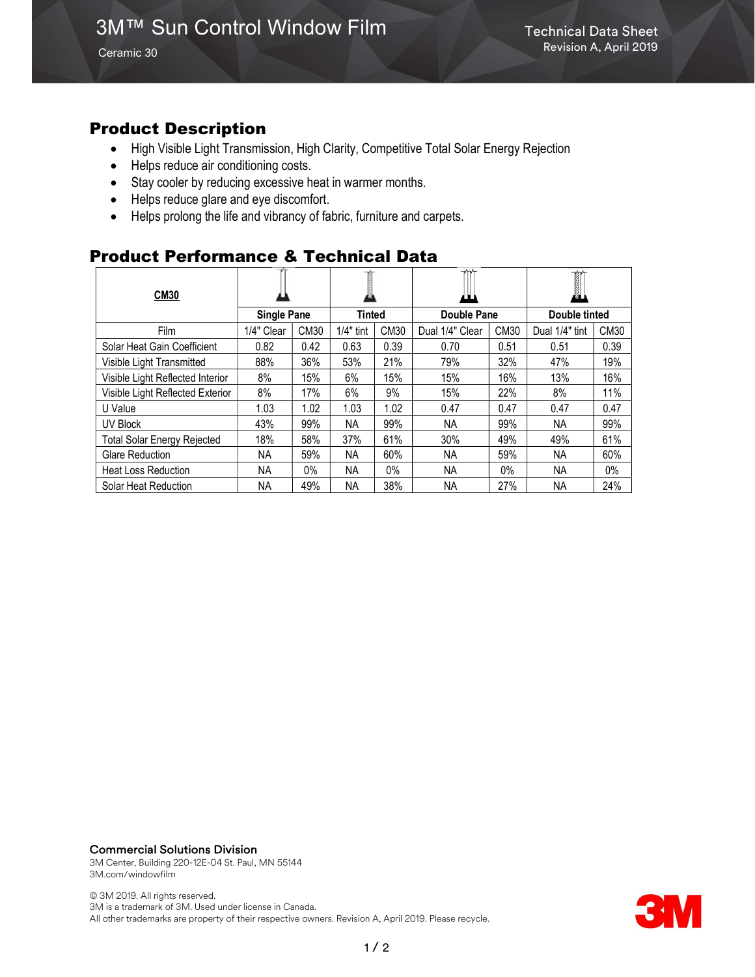Ceramic 30

### Product Description

- High Visible Light Transmission, High Clarity, Competitive Total Solar Energy Rejection
- Helps reduce air conditioning costs.
- Stay cooler by reducing excessive heat in warmer months.
- Helps reduce glare and eye discomfort.
- Helps prolong the life and vibrancy of fabric, furniture and carpets.

### Product Performance & Technical Data

| <b>CM30</b>                        |                    |       |             |             | $\mathbf{v}$<br>ш |       | Ĩ<br>KAL)      |       |
|------------------------------------|--------------------|-------|-------------|-------------|-------------------|-------|----------------|-------|
|                                    | <b>Single Pane</b> |       | Tinted      |             | Double Pane       |       | Double tinted  |       |
| Film                               | 1/4" Clear         | CM30  | $1/4"$ tint | <b>CM30</b> | Dual 1/4" Clear   | CM30  | Dual 1/4" tint | CM30  |
| Solar Heat Gain Coefficient        | 0.82               | 0.42  | 0.63        | 0.39        | 0.70              | 0.51  | 0.51           | 0.39  |
| Visible Light Transmitted          | 88%                | 36%   | 53%         | 21%         | 79%               | 32%   | 47%            | 19%   |
| Visible Light Reflected Interior   | 8%                 | 15%   | 6%          | 15%         | 15%               | 16%   | 13%            | 16%   |
| Visible Light Reflected Exterior   | 8%                 | 17%   | 6%          | 9%          | 15%               | 22%   | 8%             | 11%   |
| U Value                            | 1.03               | 1.02  | 1.03        | 1.02        | 0.47              | 0.47  | 0.47           | 0.47  |
| UV Block                           | 43%                | 99%   | ΝA          | 99%         | NA.               | 99%   | NA             | 99%   |
| <b>Total Solar Energy Rejected</b> | 18%                | 58%   | 37%         | 61%         | 30%               | 49%   | 49%            | 61%   |
| <b>Glare Reduction</b>             | NA.                | 59%   | ΝA          | 60%         | NA.               | 59%   | NA.            | 60%   |
| <b>Heat Loss Reduction</b>         | NA.                | $0\%$ | <b>NA</b>   | $0\%$       | <b>NA</b>         | $0\%$ | NA.            | $0\%$ |
| Solar Heat Reduction               | ΝA                 | 49%   | <b>NA</b>   | 38%         | NA.               | 27%   | NА             | 24%   |

Commercial Solutions Division

3M Center, Building 220-12E-04 St. Paul, MN 55144 3M.com/windowfilm

© 3M 2019. All rights reserved. 3M is a trademark of 3M. Used under license in Canada. All other trademarks are property of their respective owners. Revision A, April 2019. Please recycle.